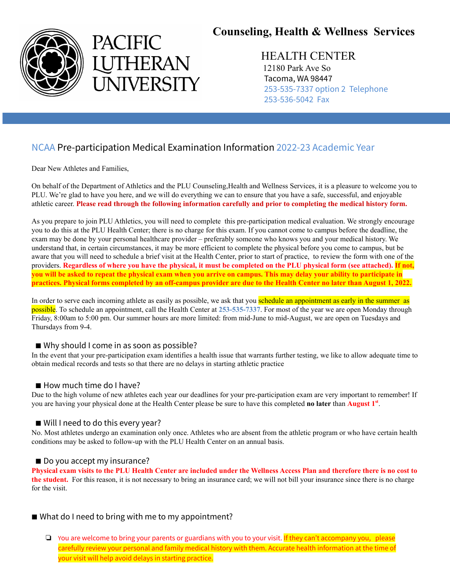



# **Counseling, Health & Wellness Services**

## HEALTH CENTER

12180 Park Ave So Tacoma, WA 98447 253-535-7337 option 2 Telephone 253-536-5042 Fax

## NCAA Pre-participation Medical Examination Information 2022-23 Academic Year

Dear New Athletes and Families,

On behalf of the Department of Athletics and the PLU Counseling,Health and Wellness Services, it is a pleasure to welcome you to PLU. We're glad to have you here, and we will do everything we can to ensure that you have a safe, successful, and enjoyable athletic career. Please read through the following information carefully and prior to completing the medical history form.

As you prepare to join PLU Athletics, you will need to complete this pre-participation medical evaluation. We strongly encourage you to do this at the PLU Health Center; there is no charge for this exam. If you cannot come to campus before the deadline, the exam may be done by your personal healthcare provider – preferably someone who knows you and your medical history. We understand that, in certain circumstances, it may be more efficient to complete the physical before you come to campus, but be aware that you will need to schedule a brief visit at the Health Center, prior to start of practice, to review the form with one of the providers. Regardless of where you have the physical, it must be completed on the PLU physical form (see attached). If not, you will be asked to repeat the physical exam when you arrive on campus. This may delay your ability to participate in practices. Physical forms completed by an off-campus provider are due to the Health Center no later than August 1, 2022.

In order to serve each incoming athlete as easily as possible, we ask that you **schedule an appointment as early in the summer as** possible. To schedule an appointment, call the Health Center at **253-535-7337**. For most of the year we are open Monday through Friday, 8:00am to 5:00 pm. Our summer hours are more limited: from mid-June to mid-August, we are open on Tuesdays and Thursdays from 9-4.

## ■ Why should I come in as soon as possible?

In the event that your pre-participation exam identifies a health issue that warrants further testing, we like to allow adequate time to obtain medical records and tests so that there are no delays in starting athletic practice

#### ■ How much time do I have?

Due to the high volume of new athletes each year our deadlines for your pre-participation exam are very important to remember! If you are having your physical done at the Health Center please be sure to have this completed **no later** than **August 1 st** .

## ■ Will I need to do this every year?

No. Most athletes undergo an examination only once. Athletes who are absent from the athletic program or who have certain health conditions may be asked to follow-up with the PLU Health Center on an annual basis.

#### ■ Do you accept my insurance?

Physical exam visits to the PLU Health Center are included under the Wellness Access Plan and therefore there is no cost to **the student.** For this reason, it is not necessary to bring an insurance card; we will not bill your insurance since there is no charge for the visit.

## ■ What do I need to bring with me to my appointment?

❏ You are welcome to bring your parents or guardians with you to your visit. If they can't accompany you, please carefully review your personal and family medical history with them. Accurate health information at the time of your visit will help avoid delays in starting practice.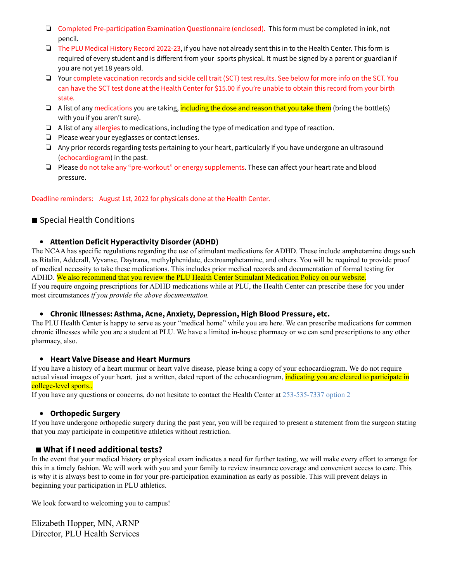- ❏ Completed Pre-participation Examination Questionnaire (enclosed). This form must be completed in ink, not pencil.
- ❏ The PLU Medical History Record 2022-23, if you have not already sent this in to the Health Center. This form is required of every student and is different from your sports physical. It must be signed by a parent or guardian if you are not yet 18 years old.
- ❏ Your complete vaccination records and sickle cell trait (SCT) test results. See below for more info on the SCT. You can have the SCT test done at the Health Center for \$15.00 if you're unable to obtain this record from your birth state.
- ❏ A list of any medications you are taking, including the dose and reason that you take them (bring the bottle(s) with you if you aren't sure).
- ❏ A list of any allergies to medications, including the type of medication and type of reaction.
- ❏ Please wear your eyeglasses or contact lenses.
- ❏ Any prior records regarding tests pertaining to your heart, particularly if you have undergone an ultrasound (echocardiogram) in the past.
- ❏ Please do not take any "pre-workout" or energy supplements. These can affect your heart rate and blood pressure.

Deadline reminders: August 1st, 2022 for physicals done at the Health Center.

### ■ Special Health Conditions

#### **Attention Deficit Hyperactivity Disorder (ADHD)**

The NCAA has specific regulations regarding the use of stimulant medications for ADHD. These include amphetamine drugs such as Ritalin, Adderall, Vyvanse, Daytrana, methylphenidate, dextroamphetamine, and others. You will be required to provide proof of medical necessity to take these medications. This includes prior medical records and documentation of formal testing for ADHD. We also recommend that you review the PLU Health Center Stimulant Medication Policy on our website. If you require ongoing prescriptions for ADHD medications while at PLU, the Health Center can prescribe these for you under most circumstances *if you provide the above documentation.*

#### **Chronic Illnesses: Asthma, Acne, Anxiety, Depression, High Blood Pressure, etc.**

The PLU Health Center is happy to serve as your "medical home" while you are here. We can prescribe medications for common chronic illnesses while you are a student at PLU. We have a limited in-house pharmacy or we can send prescriptions to any other pharmacy, also.

#### **Heart Valve Disease and Heart Murmurs**

If you have a history of a heart murmur or heart valve disease, please bring a copy of your echocardiogram. We do not require actual visual images of your heart, just a written, dated report of the echocardiogram, indicating you are cleared to participate in college-level sports..

If you have any questions or concerns, do not hesitate to contact the Health Center at 253-535-7337 option 2

#### **Orthopedic Surgery**

If you have undergone orthopedic surgery during the past year, you will be required to present a statement from the surgeon stating that you may participate in competitive athletics without restriction.

## ■ **What if I need additional tests?**

In the event that your medical history or physical exam indicates a need for further testing, we will make every effort to arrange for this in a timely fashion. We will work with you and your family to review insurance coverage and convenient access to care. This is why it is always best to come in for your pre-participation examination as early as possible. This will prevent delays in beginning your participation in PLU athletics.

We look forward to welcoming you to campus!

Elizabeth Hopper, MN, ARNP Director, PLU Health Services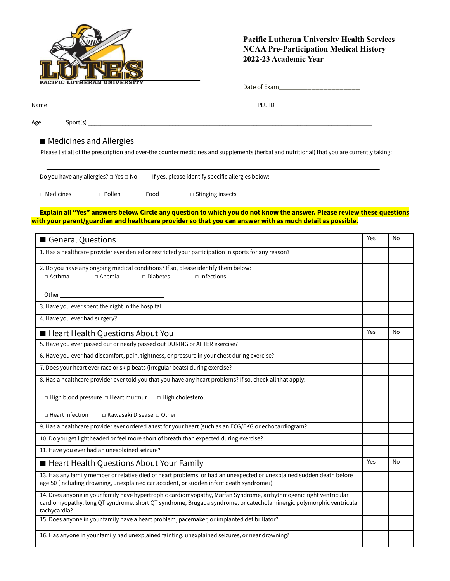

### **Pacific Lutheran University Health Services NCAA Pre-Participation Medical History 2022-23 Academic Year**

Name PLU ID \_\_\_\_\_\_\_\_\_\_\_\_\_\_\_\_\_\_\_\_\_\_\_\_\_\_\_\_\_\_

 $Age \_\_\_\_\$  Sport(s)  $\_\_\_\_\_\_$ 

#### ■ Medicines and Allergies

Please list all of the prescription and over-the counter medicines and supplements (herbal and nutritional) that you are currently taking:

| Do you have any allergies? $\square$ Yes $\square$ No |               | If yes, please identify specific allergies below: |                         |  |
|-------------------------------------------------------|---------------|---------------------------------------------------|-------------------------|--|
| $\Box$ Medicines                                      | $\Box$ Pollen | $\sqcap$ Food                                     | $\Box$ Stinging insects |  |

Explain all "Yes" answers below. Circle any question to which you do not know the answer. Please review these questions **with your parent/guardian and healthcare provider so that you can answer with as much detail as possible.**

| General Questions                                                                                                                                                                                                                                         | Yes | No |
|-----------------------------------------------------------------------------------------------------------------------------------------------------------------------------------------------------------------------------------------------------------|-----|----|
| 1. Has a healthcare provider ever denied or restricted your participation in sports for any reason?                                                                                                                                                       |     |    |
| 2. Do you have any ongoing medical conditions? If so, please identify them below:<br>$\sqcap$ Anemia<br>$\Box$ Diabetes<br>$\sqcap$ Infections<br>$\Box$ Asthma                                                                                           |     |    |
|                                                                                                                                                                                                                                                           |     |    |
| 3. Have you ever spent the night in the hospital                                                                                                                                                                                                          |     |    |
| 4. Have you ever had surgery?                                                                                                                                                                                                                             |     |    |
| Heart Health Questions About You                                                                                                                                                                                                                          | Yes | No |
| 5. Have you ever passed out or nearly passed out DURING or AFTER exercise?                                                                                                                                                                                |     |    |
| 6. Have you ever had discomfort, pain, tightness, or pressure in your chest during exercise?                                                                                                                                                              |     |    |
| 7. Does your heart ever race or skip beats (irregular beats) during exercise?                                                                                                                                                                             |     |    |
| 8. Has a healthcare provider ever told you that you have any heart problems? If so, check all that apply:                                                                                                                                                 |     |    |
| $\Box$ High blood pressure $\Box$ Heart murmur<br>□ High cholesterol                                                                                                                                                                                      |     |    |
| $\Box$ Heart infection                                                                                                                                                                                                                                    |     |    |
| 9. Has a healthcare provider ever ordered a test for your heart (such as an ECG/EKG or echocardiogram?                                                                                                                                                    |     |    |
| 10. Do you get lightheaded or feel more short of breath than expected during exercise?                                                                                                                                                                    |     |    |
| 11. Have you ever had an unexplained seizure?                                                                                                                                                                                                             |     |    |
| Heart Health Questions About Your Family                                                                                                                                                                                                                  | Yes | No |
| 13. Has any family member or relative died of heart problems, or had an unexpected or unexplained sudden death before<br>age 50 (including drowning, unexplained car accident, or sudden infant death syndrome?)                                          |     |    |
| 14. Does anyone in your family have hypertrophic cardiomyopathy, Marfan Syndrome, arrhythmogenic right ventricular<br>cardiomyopathy, long QT syndrome, short QT syndrome, Brugada syndrome, or catecholaminergic polymorphic ventricular<br>tachycardia? |     |    |
| 15. Does anyone in your family have a heart problem, pacemaker, or implanted defibrillator?                                                                                                                                                               |     |    |
| 16. Has anyone in your family had unexplained fainting, unexplained seizures, or near drowning?                                                                                                                                                           |     |    |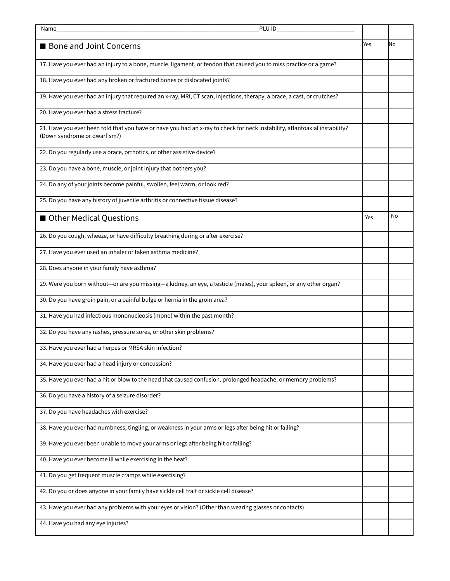| PLU ID<br>Name                                                                                                                                              |     |    |
|-------------------------------------------------------------------------------------------------------------------------------------------------------------|-----|----|
|                                                                                                                                                             |     |    |
| <b>Bone and Joint Concerns</b>                                                                                                                              | Yes | Νo |
| 17. Have you ever had an injury to a bone, muscle, ligament, or tendon that caused you to miss practice or a game?                                          |     |    |
| 18. Have you ever had any broken or fractured bones or dislocated joints?                                                                                   |     |    |
| 19. Have you ever had an injury that required an x-ray, MRI, CT scan, injections, therapy, a brace, a cast, or crutches?                                    |     |    |
| 20. Have you ever had a stress fracture?                                                                                                                    |     |    |
| 21. Have you ever been told that you have or have you had an x-ray to check for neck instability, atlantoaxial instability?<br>(Down syndrome or dwarfism?) |     |    |
| 22. Do you regularly use a brace, orthotics, or other assistive device?                                                                                     |     |    |
| 23. Do you have a bone, muscle, or joint injury that bothers you?                                                                                           |     |    |
| 24. Do any of your joints become painful, swollen, feel warm, or look red?                                                                                  |     |    |
| 25. Do you have any history of juvenile arthritis or connective tissue disease?                                                                             |     |    |
| Other Medical Questions                                                                                                                                     | Yes | No |
| 26. Do you cough, wheeze, or have difficulty breathing during or after exercise?                                                                            |     |    |
| 27. Have you ever used an inhaler or taken asthma medicine?                                                                                                 |     |    |
| 28. Does anyone in your family have asthma?                                                                                                                 |     |    |
| 29. Were you born without—or are you missing—a kidney, an eye, a testicle (males), your spleen, or any other organ?                                         |     |    |
| 30. Do you have groin pain, or a painful bulge or hernia in the groin area?                                                                                 |     |    |
| 31. Have you had infectious mononucleosis (mono) within the past month?                                                                                     |     |    |
| 32. Do you have any rashes, pressure sores, or other skin problems?                                                                                         |     |    |
| 33. Have you ever had a herpes or MRSA skin infection?                                                                                                      |     |    |
| 34. Have you ever had a head injury or concussion?                                                                                                          |     |    |
| 35. Have you ever had a hit or blow to the head that caused confusion, prolonged headache, or memory problems?                                              |     |    |
| 36. Do you have a history of a seizure disorder?                                                                                                            |     |    |
| 37. Do you have headaches with exercise?                                                                                                                    |     |    |
| 38. Have you ever had numbness, tingling, or weakness in your arms or legs after being hit or falling?                                                      |     |    |
| 39. Have you ever been unable to move your arms or legs after being hit or falling?                                                                         |     |    |
| 40. Have you ever become ill while exercising in the heat?                                                                                                  |     |    |
| 41. Do you get frequent muscle cramps while exercising?                                                                                                     |     |    |
| 42. Do you or does anyone in your family have sickle cell trait or sickle cell disease?                                                                     |     |    |
| 43. Have you ever had any problems with your eyes or vision? (Other than wearing glasses or contacts)                                                       |     |    |
| 44. Have you had any eye injuries?                                                                                                                          |     |    |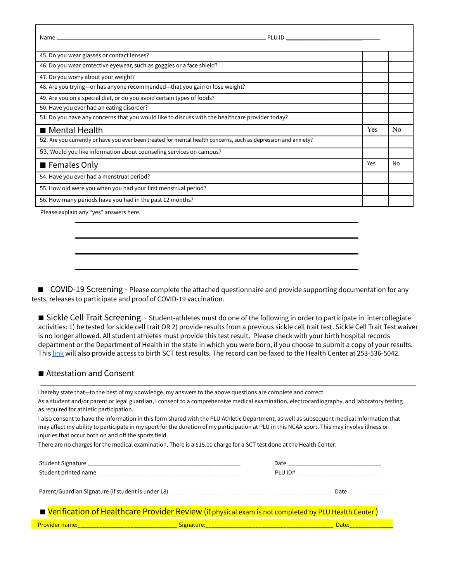| 45. Do you wear glasses or contact lenses?                                                                      |            |                |
|-----------------------------------------------------------------------------------------------------------------|------------|----------------|
| 46. Do you wear protective eyewear, such as goggles or a face shield?                                           |            |                |
| 47. Do you worry about your weight?                                                                             |            |                |
| 48. Are you trying—or has anyone recommended—that you gain or lose weight?                                      |            |                |
| 49. Are you on a special diet, or do you avoid certain types of foods?                                          |            |                |
| 50. Have you ever had an eating disorder?                                                                       |            |                |
| 51. Do you have any concerns that you would like to discuss with the healthcare provider today?                 |            |                |
| ■ Mental Health                                                                                                 | <b>Yes</b> | N <sub>0</sub> |
| 52. Are you currently or have you ever been treated for mental health concerns, such as depression and anxiety? |            |                |
| 53. Would you like information about counseling services on campus?                                             |            |                |
| ■ Females Only                                                                                                  | Yes        | No             |
| 54. Have you ever had a menstrual period?                                                                       |            |                |
| 55. How old were you when you had your first menstrual period?                                                  |            |                |
| 56. How many periods have you had in the past 12 months?                                                        |            |                |
|                                                                                                                 |            |                |

Please explain any "yes" answers here.

■ COVID-19 Screening - Please complete the attached questionnaire and provide supporting documentation for any tests, releases to participate and proof of COVID-19 vaccination.

■ Sickle Cell Trait Screening - Student-athletes must do one of the following in order to participate in intercollegiate activities: 1) be tested for sickle cell trait OR 2) provide results from a previous sickle cell trait test. Sickle Cell Trait Test waiver is no longer allowed. All student athletes must provide this test result. Please check with your birth hospital records department or the Department of Health in the state in which you were born, if you choose to submit a copy of your results. This [link](https://docs.google.com/document/d/1jlpQfpuzBA3u4EBDriKShU2znGLqjG3IwcmbaOivbCQ/edit) will also provide access to birth SCT test results. The record can be faxed to the Health Center at 253-536-5042.

#### ■ Attestation and Consent

I hereby state that—to the best of my knowledge, my answers to the above questions are complete and correct.

As a student and/or parent or legal guardian, I consent to a comprehensive medical examination, electrocardiography, and laboratory testing as required for athletic participation.

I also consent to have the information in this form shared with the PLU Athletic Department, as well as subsequent medical information that may affect my ability to participate in my sport for the duration of my participation at PLU in this NCAA sport. This may involve illness or injuries that occur both on and off the sports field.

There are no charges for the medical examination. There is a \$15.00 charge for a SCT test done at the Health Center.

|                                                                                                       | Date    |      |
|-------------------------------------------------------------------------------------------------------|---------|------|
|                                                                                                       | PLU ID# |      |
|                                                                                                       |         | Date |
| ■ Verification of Healthcare Provider Review (if physical exam is not completed by PLU Health Center) |         |      |
|                                                                                                       |         |      |